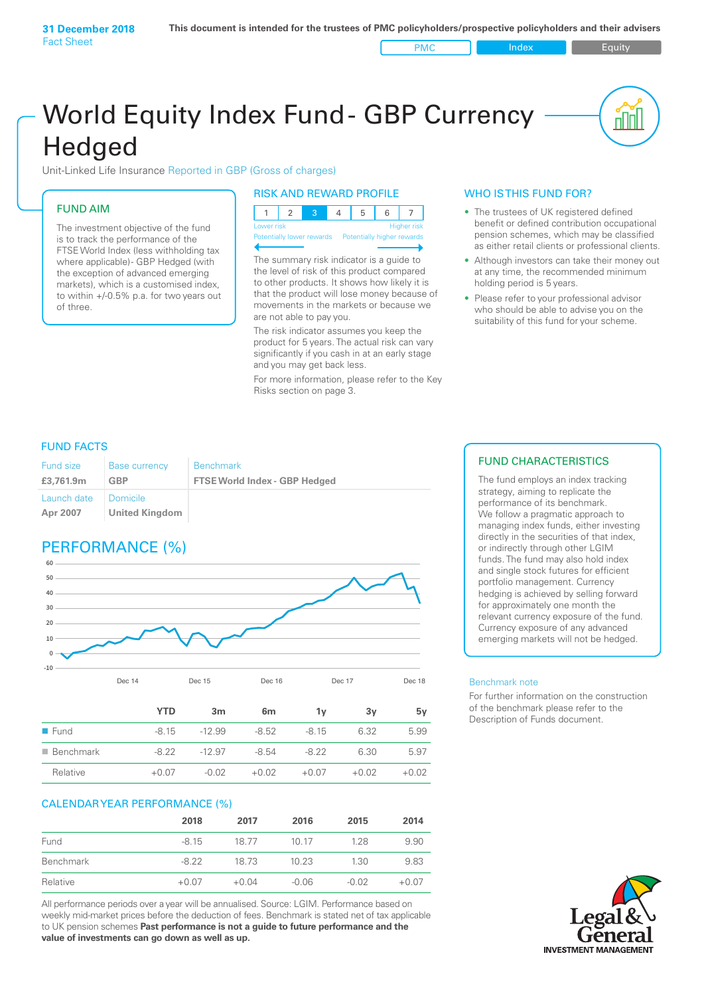PMC Index PMC Equity

# World Equity Index Fund- GBP Currency **Hedged**

Unit-Linked Life Insurance Reported in GBP (Gross of charges)

### FUND AIM

The investment objective of the fund is to track the performance of the FTSE World Index (less withholding tax where applicable) - GBP Hedged (with the exception of advanced emerging markets), which is a customised index, to within +/‑0.5% p.a. for two years out of three.

#### RISK AND REWARD PROFILE

| Lower risk |  |  | <b>Higher risk</b> |
|------------|--|--|--------------------|

ntially lower rewards

The summary risk indicator is a guide to the level of risk of this product compared to other products. It shows how likely it is that the product will lose money because of movements in the markets or because we are not able to pay you.

The risk indicator assumes you keep the product for 5 years. The actual risk can vary significantly if you cash in at an early stage and you may get back less.

For more information, please refer to the Key Risks section on page 3.

#### WHO IS THIS FUND FOR?

- The trustees of UK registered defined benefit or defined contribution occupational pension schemes, which may be classified as either retail clients or professional clients.
- Although investors can take their money out at any time, the recommended minimum holding period is 5 years.
- Please refer to your professional advisor who should be able to advise you on the suitability of this fund for your scheme.

#### FUND FACTS

| <b>Fund size</b>        | <b>Base currency</b>                  | <b>Benchmark</b>                     |
|-------------------------|---------------------------------------|--------------------------------------|
| £3,761.9m               | GBP                                   | <b>FTSE World Index - GBP Hedged</b> |
| Launch date<br>Apr 2007 | ! Domicile ∶<br><b>United Kingdom</b> |                                      |

## PERFORMANCE (%)



|                          | <b>YTD</b> | 3m       | 6 <sub>m</sub> | 1ν      | 3v      | 5v      |
|--------------------------|------------|----------|----------------|---------|---------|---------|
| $\blacksquare$ Fund      | $-815$     | $-12.99$ | $-8.52$        | $-8.15$ | 6.32    | 5.99    |
| $\blacksquare$ Benchmark | $-8.22$    | $-12.97$ | $-8.54$        | $-8.22$ | 6.30    | 5.97    |
| Relative                 | $+0.07$    | $-0.02$  | $+0.02$        | $+0.07$ | $+0.02$ | $+0.02$ |

#### CALENDAR YEAR PERFORMANCE (%)

|           | 2018    | 2017    | 2016    | 2015    | 2014    |
|-----------|---------|---------|---------|---------|---------|
| Fund      | $-8.15$ | 18.77   | 10 17   | 128     | 9.90    |
| Benchmark | -8.22   | 18.73   | 10.23   | 1.30    | 9.83    |
| Relative  | $+0.07$ | $+0.04$ | $-0.06$ | $-0.02$ | $+0.07$ |

All performance periods over a year will be annualised. Source: LGIM. Performance based on weekly mid-market prices before the deduction of fees. Benchmark is stated net of tax applicable to UK pension schemes **Past performance is not a guide to future performance and the value of investments can go down as well as up.**

### FUND CHARACTERISTICS

The fund employs an index tracking strategy, aiming to replicate the performance of its benchmark. We follow a pragmatic approach to managing index funds, either investing directly in the securities of that index, or indirectly through other LGIM funds. The fund may also hold index and single stock futures for efficient portfolio management. Currency hedging is achieved by selling forward for approximately one month the relevant currency exposure of the fund. Currency exposure of any advanced emerging markets will not be hedged.

#### Benchmark note

For further information on the construction of the benchmark please refer to the Description of Funds document.

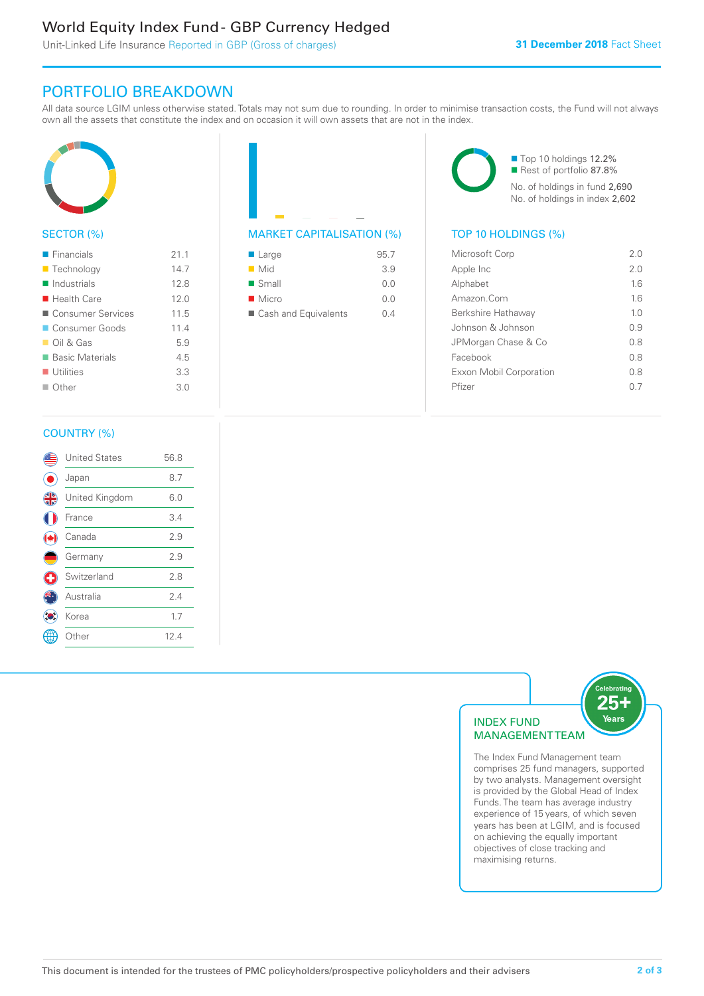### World Equity Index Fund - GBP Currency Hedged

Unit-Linked Life Insurance Reported in GBP (Gross of charges)

### PORTFOLIO BREAKDOWN

All data source LGIM unless otherwise stated. Totals may not sum due to rounding. In order to minimise transaction costs, the Fund will not always own all the assets that constitute the index and on occasion it will own assets that are not in the index.



#### SECTOR (%)

| $\blacksquare$ Financials  | 21.1 |
|----------------------------|------|
| ■ Technology               | 14.7 |
| $\blacksquare$ Industrials | 12.8 |
| $\blacksquare$ Health Care | 12.0 |
| ■ Consumer Services        | 11.5 |
| ■ Consumer Goods           | 11.4 |
| $\Box$ Oil & Gas           | 5.9  |
| ■ Basic Materials          | 4.5  |
| $\blacksquare$ Utilities   | 3.3  |
| $\Box$ Other               | 3.0  |
|                            |      |



| $\blacksquare$ Large | 95.7 |
|----------------------|------|
| $\blacksquare$ Mid   | 3.9  |
| $\blacksquare$ Small | 0.0  |
| $\blacksquare$ Micro | 0.0  |
| Cash and Equivalents | N 4  |

■ Top 10 holdings 12.2% Rest of portfolio 87.8% No. of holdings in fund 2,690 No. of holdings in index 2,602

| Microsoft Corp          | 2.0 |
|-------------------------|-----|
| Apple Inc               | 2.0 |
| Alphabet                | 16  |
| Amazon Com              | 16  |
| Berkshire Hathaway      | 10  |
| Johnson & Johnson       | 09  |
| JPMorgan Chase & Co     | 0 S |
| Facebook                | 08  |
| Exxon Mobil Corporation | 0 S |
| Pfizer                  |     |
|                         |     |

#### COUNTRY (%)

|   | <b>United States</b> | 56.8 |  |
|---|----------------------|------|--|
|   | Japan                | 8.7  |  |
| 4 | United Kingdom       | 6.0  |  |
|   | France               | 3.4  |  |
|   | Canada               | 2.9  |  |
|   | Germany              | 2.9  |  |
|   | Switzerland          | 2.8  |  |
|   | Australia            | 24   |  |
|   | Korea                | 1.7  |  |
|   | : Other              | 12.4 |  |
|   |                      |      |  |



comprises 25 fund managers, supported by two analysts. Management oversight is provided by the Global Head of Index Funds. The team has average industry experience of 15 years, of which seven years has been at LGIM, and is focused on achieving the equally important objectives of close tracking and maximising returns.